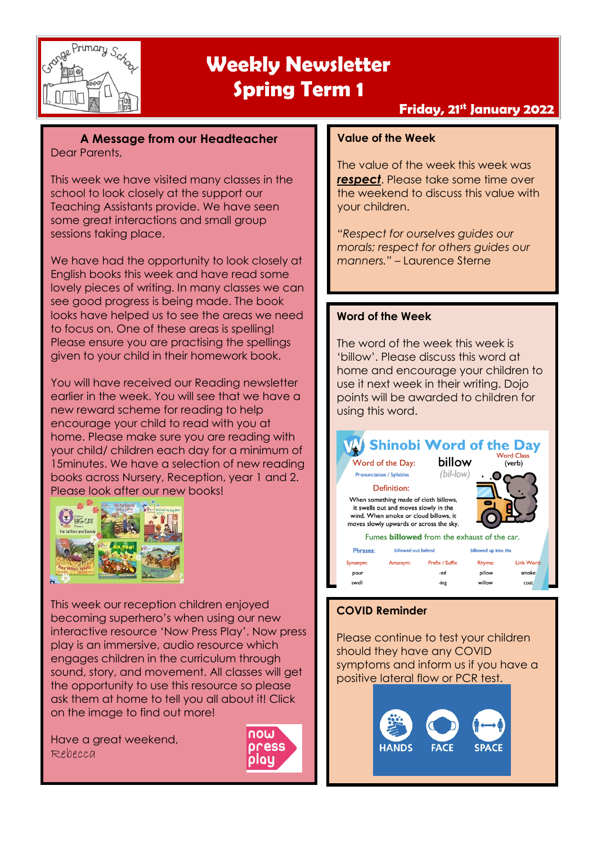

### **Friday, 21st January 2022**

**A Message from our Headteacher** Dear Parents,

This week we have visited many classes in the school to look closely at the support our Teaching Assistants provide. We have seen some great interactions and small group sessions taking place.

We have had the opportunity to look closely at English books this week and have read some lovely pieces of writing. In many classes we can see good progress is being made. The book looks have helped us to see the areas we need to focus on. One of these areas is spelling! Please ensure you are practising the spellings given to your child in their homework book.

You will have received our Reading newsletter earlier in the week. You will see that we have a new reward scheme for reading to help encourage your child to read with you at home. Please make sure you are reading with your child/ children each day for a minimum of 15minutes. We have a selection of new reading books across Nursery, Reception, year 1 and 2. Please look after our new books!



This week our reception children enjoyed becoming superhero's when using our new interactive resource 'Now Press Play'. Now press play is an immersive, audio resource which engages children in the curriculum through sound, story, and movement. All classes will get the opportunity to use this resource so please ask them at home to tell you all about it! Click on the image to find out more!

Have a great weekend, Rebecca



#### **Value of the Week**

The value of the week this week was **respect**. Please take some time over the weekend to discuss this value with your children.

*"Respect for ourselves guides our morals; respect for others guides our manners."* – Laurence Sterne

#### **Word of the Week**

The word of the week this week is 'billow'. Please discuss this word at home and encourage your children to use it next week in their writing. Dojo points will be awarded to children for using this word.



#### **COVID Reminder**

Please continue to test your children should they have any COVID symptoms and inform us if you have a positive lateral flow or PCR test.

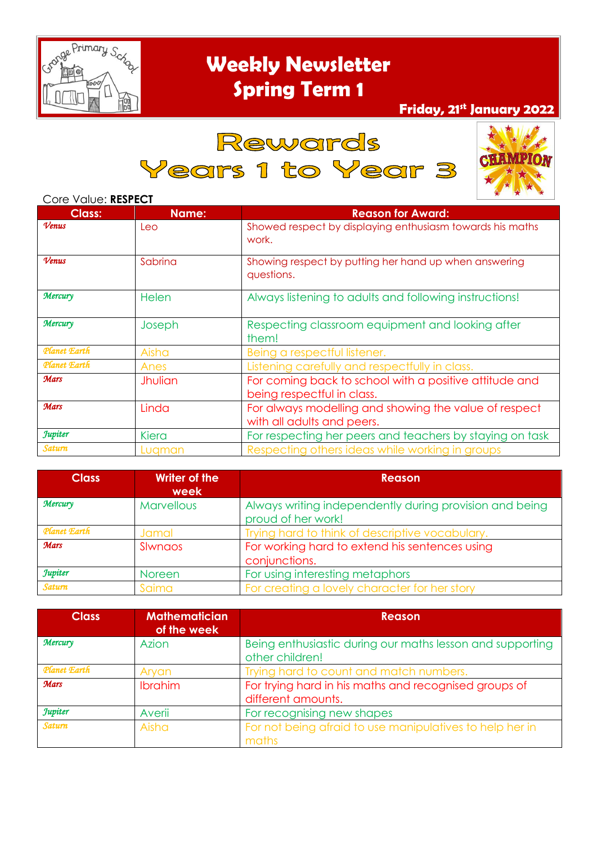

## **Friday, 21st January 2022**

## Rewards

Years 1 to Year 3



#### Core Value: **RESPECT**

| <b>Class:</b>  | Name:          | <b>Reason for Award:</b>                                                             |  |
|----------------|----------------|--------------------------------------------------------------------------------------|--|
| Venus          | Leo            | Showed respect by displaying enthusiasm towards his maths<br>work.                   |  |
| Venus          | Sabrina        | Showing respect by putting her hand up when answering<br>questions.                  |  |
| Mercury        | Helen          | Always listening to adults and following instructions!                               |  |
| Mercury        | Joseph         | Respecting classroom equipment and looking after<br>them!                            |  |
| Planet Earth   | Aisha          | Being a respectful listener.                                                         |  |
| Planet Earth   | Anes           | Listening carefully and respectfully in class.                                       |  |
| <b>Mars</b>    | <b>Jhulian</b> | For coming back to school with a positive attitude and<br>being respectful in class. |  |
| <b>Mars</b>    | Linda          | For always modelling and showing the value of respect<br>with all adults and peers.  |  |
| <b>Jupiter</b> | Kiera          | For respecting her peers and teachers by staying on task                             |  |
| <b>Saturn</b>  | Lugman         | Respecting others ideas while working in groups                                      |  |

| <b>Class</b>   | <b>Writer of the</b><br>week | <b>Reason</b>                                                                 |  |
|----------------|------------------------------|-------------------------------------------------------------------------------|--|
| <b>Mercury</b> | <b>Marvellous</b>            | Always writing independently during provision and being<br>proud of her work! |  |
| Planet Earth   | Jamal                        | Trying hard to think of descriptive vocabulary.                               |  |
| <b>Mars</b>    | SIwnaos                      | For working hard to extend his sentences using<br>conjunctions.               |  |
| <b>Jupiter</b> | <b>Noreen</b>                | For using interesting metaphors                                               |  |
| <b>Saturn</b>  | Saima                        | For creating a lovely character for her story                                 |  |

| <b>Class</b>   | <b>Mathematician</b><br>of the week | Reason                                                                       |  |
|----------------|-------------------------------------|------------------------------------------------------------------------------|--|
| <b>Mercury</b> | Azion                               | Being enthusiastic during our maths lesson and supporting<br>other children! |  |
| Planet Earth   | Aryan                               | Trying hard to count and match numbers.                                      |  |
| <b>Mars</b>    | Ibrahim                             | For trying hard in his maths and recognised groups of<br>different amounts.  |  |
| <b>Jupiter</b> | Averii                              | For recognising new shapes                                                   |  |
| <b>Saturn</b>  | Aisha                               | For not being afraid to use manipulatives to help her in<br>maths            |  |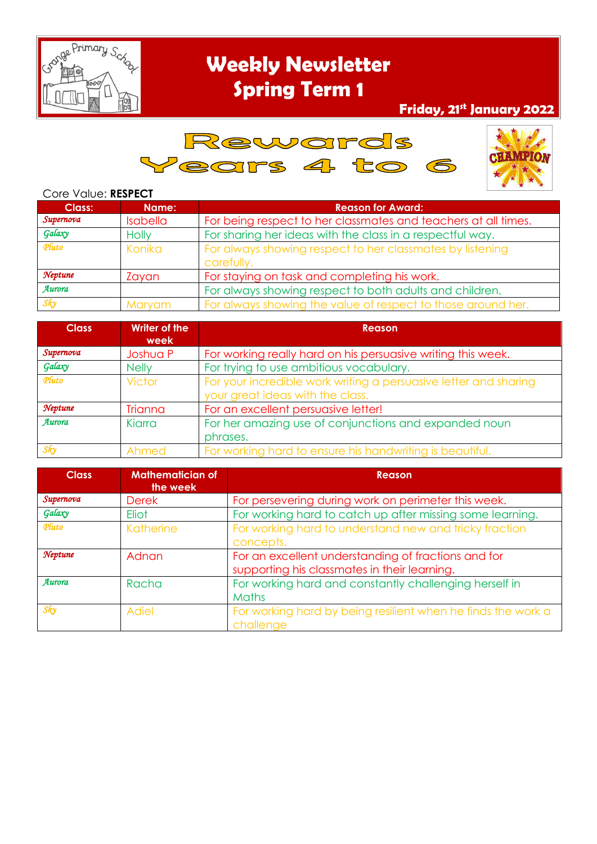

## **Friday, 21st January 2022**





#### Core Value: **RESPECT**

| <b>Class:</b> | Name:           | <b>Reason for Award:</b>                                                |  |
|---------------|-----------------|-------------------------------------------------------------------------|--|
| Supernova     | <b>Isabella</b> | For being respect to her classmates and teachers at all times.          |  |
| Galaxy        | <b>Holly</b>    | For sharing her ideas with the class in a respectful way.               |  |
| Pluto         | Konika          | For always showing respect to her classmates by listening<br>carefully. |  |
| Neptune       | Zayan           | For staying on task and completing his work.                            |  |
| Aurora        |                 | For always showing respect to both adults and children.                 |  |
| Sky           | Maryam          | For always showing the value of respect to those around her.            |  |

| <b>Class</b> | <b>Writer of the</b><br>week | <b>Reason</b>                                                    |  |
|--------------|------------------------------|------------------------------------------------------------------|--|
| Supernova    | Joshua P                     | For working really hard on his persuasive writing this week.     |  |
| Galaxy       | <b>Nelly</b>                 | For trying to use ambitious vocabulary.                          |  |
| Pluto        | Victor                       | For your incredible work writing a persuasive letter and sharing |  |
|              |                              | your great ideas with the class.                                 |  |
| Neptune      | Trianna                      | For an excellent persuasive letter!                              |  |
| Aurora       | Kiarra                       | For her amazing use of conjunctions and expanded noun            |  |
|              |                              | phrases.                                                         |  |
| Sky          | Ahmed                        | For working hard to ensure his handwriting is beautiful.         |  |

| <b>Class</b> | <b>Mathematician of</b><br>the week | <b>Reason</b>                                                                                       |  |
|--------------|-------------------------------------|-----------------------------------------------------------------------------------------------------|--|
| Supernova    | <b>Derek</b>                        | For persevering during work on perimeter this week.                                                 |  |
| Galaxy       | Eliot                               | For working hard to catch up after missing some learning.                                           |  |
| Pluto        | Katherine                           | For working hard to understand new and tricky fraction<br>concepts.                                 |  |
| Neptune      | Adnan                               | For an excellent understanding of fractions and for<br>supporting his classmates in their learning. |  |
| Aurora       | Racha                               | For working hard and constantly challenging herself in<br><b>Maths</b>                              |  |
| Sky          | <b>Adiel</b>                        | For working hard by being resilient when he finds the work a<br>challenge                           |  |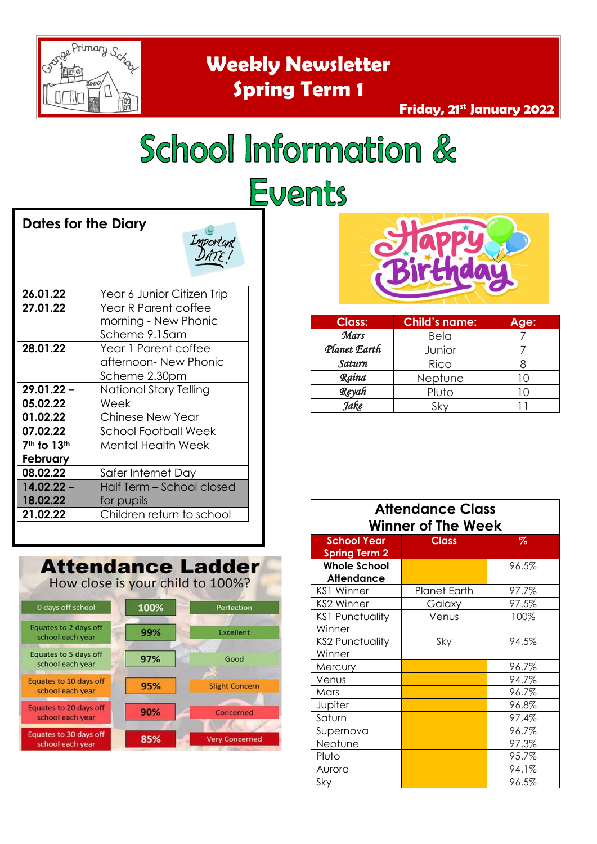

# School Information & Events

#### **Dates for the Diary**



| 26.01.22                            | Year 6 Junior Citizen Trip  |  |
|-------------------------------------|-----------------------------|--|
| 27.01.22                            | Year R Parent coffee        |  |
|                                     | morning - New Phonic        |  |
|                                     | Scheme 9.15am               |  |
| 28.01.22                            | Year 1 Parent coffee        |  |
|                                     | afternoon- New Phonic       |  |
|                                     | Scheme 2.30pm               |  |
| $29.01.22 -$                        | National Story Telling      |  |
| 05.02.22                            | Week                        |  |
| 01.02.22                            | Chinese New Year            |  |
| 07.02.22                            | <b>School Football Week</b> |  |
| 7 <sup>th</sup> to 13 <sup>th</sup> | Mental Health Week          |  |
| February                            |                             |  |
| 08.02.22                            | Safer Internet Day          |  |
| $14.02.22 -$                        | Half Term - School closed   |  |
| 18.02.22                            | for pupils                  |  |
| 21.02.22                            | Children return to school   |  |





| <b>Class:</b> | <b>Child's name:</b> | Age:       |
|---------------|----------------------|------------|
| Mars          | <b>Bela</b>          |            |
| Planet Earth  | Junior               |            |
| Saturn        | Rico                 |            |
| Raina         | Neptune              | $\sqrt{2}$ |
| Reyah         | Pluto                |            |
| Jake          |                      |            |

| <b>Attendance Class</b><br><b>Winner of The Week</b> |                     |       |  |
|------------------------------------------------------|---------------------|-------|--|
| <b>School Year</b><br><b>Spring Term 2</b>           | <b>Class</b>        | %     |  |
| <b>Whole School</b><br>Attendance                    |                     | 96.5% |  |
| KS1 Winner                                           | <b>Planet Earth</b> | 97.7% |  |
| KS2 Winner                                           | Galaxy              | 97.5% |  |
| <b>KS1 Punctuality</b><br>Winner                     | Venus               | 100%  |  |
| <b>KS2 Punctuality</b><br>Winner                     | Sky                 | 94.5% |  |
| Mercury                                              |                     | 96.7% |  |
| Venus                                                |                     | 94.7% |  |
| Mars                                                 |                     | 96.7% |  |
| Jupiter                                              |                     | 96.8% |  |
| Saturn                                               |                     | 97,4% |  |
| Supernova                                            |                     | 96.7% |  |
| Neptune                                              |                     | 97.3% |  |
| Pluto                                                |                     | 95.7% |  |
| Aurora                                               |                     | 94.1% |  |
| Sky                                                  |                     | 96.5% |  |